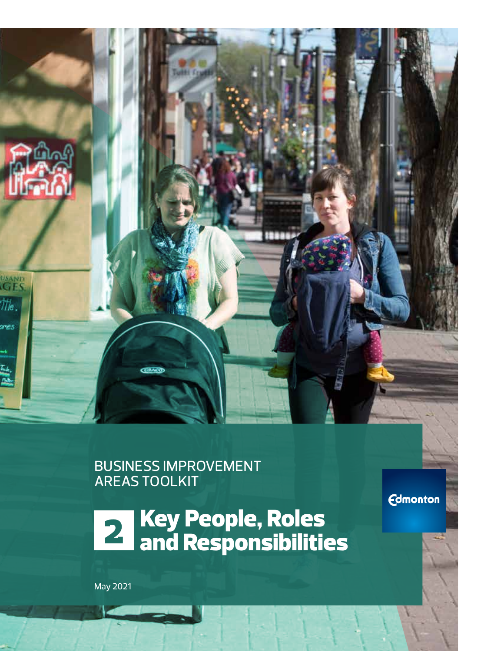

BUSINESS IMPROVEMENT AREAS TOOLKIT

**21 Key People, Roles<br>24 and Responsibilities** 

**Edmonton** 

May 2021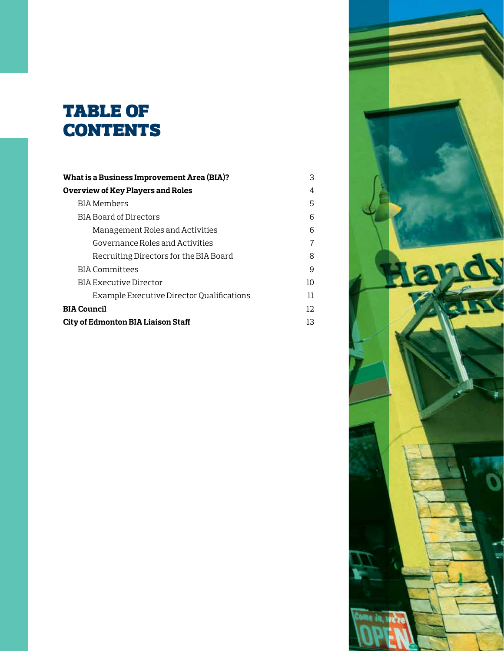# table of **CONTENTS**

| What is a Business Improvement Area (BIA)? | З  |
|--------------------------------------------|----|
| Overview of Key Players and Roles          | 4  |
| BIA Members                                | 5  |
| <b>BIA Board of Directors</b>              | 6  |
| Management Roles and Activities            | 6  |
| Governance Roles and Activities            | 7  |
| Recruiting Directors for the BIA Board     | 8  |
| BIA Committees                             | 9  |
| BIA Executive Director                     | 10 |
| Example Executive Director Qualifications  | 11 |
| <b>BIA Council</b>                         | 12 |
| City of Edmonton BIA Liaison Staff         | 13 |

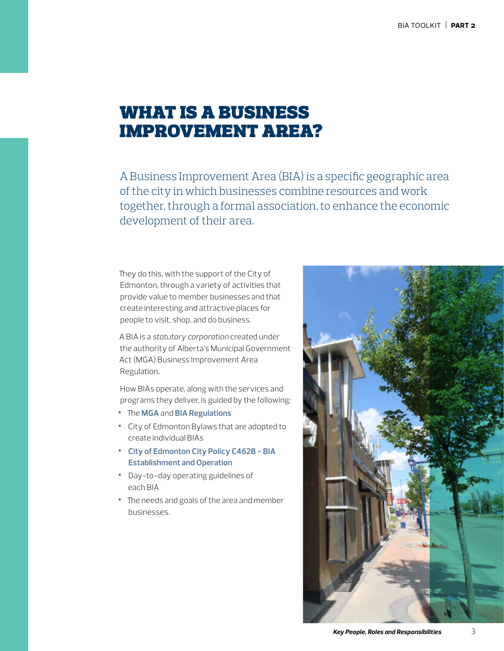## what is a business improvement area?

A Business Improvement Area (BIA) is a specific geographic area of the city in which businesses combine resources and work together, through a formal association, to enhance the economic development of their area.

They do this, with the support of the City of Edmonton, through a variety of activities that provide value to member businesses and that create interesting and attractive places for people to visit, shop, and do business.

A BIA is a *statutory corporation* created under the authority of Alberta's Municipal Government Act (MGA) Business Improvement Area Regulation**.**

How BIAs operate, along with the services and programs they deliver, is guided by the following:

- **•** The **[MGA](http://www.qp.alberta.ca/documents/Acts/m26.pdf)** and **BIA [Regulations](http://www.qp.alberta.ca/documents/Regs/2016_093.pdf)**
- **•** City of Edmonton Bylaws that are adopted to create individual BIAs
- **• [City of Edmonton City Policy C462B BIA](https://www.edmonton.ca/city_government/documents/PoliciesDirectives/C462B.pdf)  [Establishment and Operation](https://www.edmonton.ca/city_government/documents/PoliciesDirectives/C462B.pdf)**
- **•** Day-to-day operating guidelines of each BIA
- **•** The needs and goals of the area and member businesses.

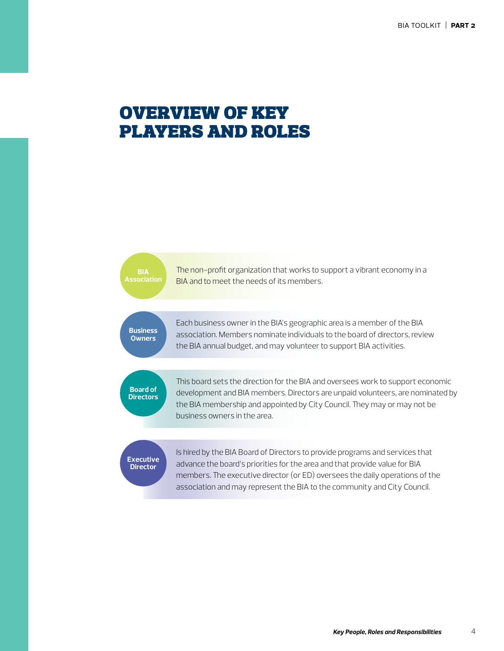The non-profit organization that works to support a vibrant economy in a BIA and to meet the needs of its members.

**Business Owners**

**Association**

Each business owner in the BIA's geographic area is a member of the BIA association. Members nominate individuals to the board of directors, review the BIA annual budget, and may volunteer to support BIA activities.

**Board of Directors**

This board sets the direction for the BIA and oversees work to support economic development and BIA members. Directors are unpaid volunteers, are nominated by the BIA membership and appointed by City Council. They may or may not be business owners in the area.

#### **Executive Director**

Is hired by the BIA Board of Directors to provide programs and services that advance the board's priorities for the area and that provide value for BIA members. The executive director (or ED) oversees the daily operations of the association and may represent the BIA to the community and City Council.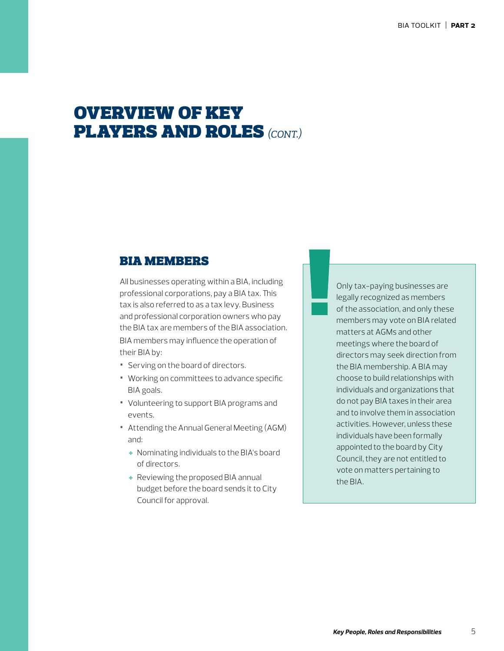#### bia members

All businesses operating within a BIA, including professional corporations, pay a BIA tax. This tax is also referred to as a tax levy. Business and professional corporation owners who pay the BIA tax are members of the BIA association. BIA members may influence the operation of their BIA by:

- **•** Serving on the board of directors.
- **•** Working on committees to advance specific BIA goals.
- **•** Volunteering to support BIA programs and events.
- **•** Attending the Annual General Meeting (AGM) and:
	- + Nominating individuals to the BIA's board of directors.
	- + Reviewing the proposed BIA annual budget before the board sends it to City Council for approval.

Only tax-paying businesses are legally recognized as members of the association, and only these members may vote on BIA related matters at AGMs and other meetings where the board of directors may seek direction from the BIA membership. A BIA may choose to build relationships with individuals and organizations that do not pay BIA taxes in their area and to involve them in association activities. However, unless these individuals have been formally appointed to the board by City Council, they are not entitled to vote on matters pertaining to the BIA.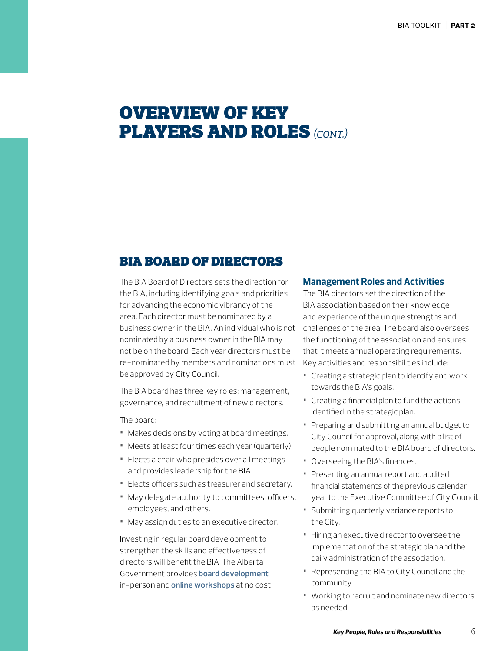#### bia board of directors

The BIA Board of Directors sets the direction for the BIA, including identifying goals and priorities for advancing the economic vibrancy of the area. Each director must be nominated by a business owner in the BIA. An individual who is not nominated by a business owner in the BIA may not be on the board. Each year directors must be re-nominated by members and nominations must be approved by City Council.

The BIA board has three key roles: management, governance, and recruitment of new directors.

The board:

- **•** Makes decisions by voting at board meetings.
- **•** Meets at least four times each year (quarterly).
- **•** Elects a chair who presides over all meetings and provides leadership for the BIA.
- **•** Elects officers such as treasurer and secretary.
- **•** May delegate authority to committees, officers, employees, and others.
- **•** May assign duties to an executive director.

Investing in regular board development to strengthen the skills and effectiveness of directors will benefit the BIA. The Alberta Government provides **[board development](https://www.alberta.ca/board-development-program.aspx/)** in-person and **[online workshops](https://www.eventbrite.ca/o/government-of-alberta-community-development-unit-30418656442)** at no cost.

#### **Management Roles and Activities**

The BIA directors set the direction of the BIA association based on their knowledge and experience of the unique strengths and challenges of the area. The board also oversees the functioning of the association and ensures that it meets annual operating requirements. Key activities and responsibilities include:

- **•** Creating a strategic plan to identify and work towards the BIA's goals.
- **•** Creating a financial plan to fund the actions identified in the strategic plan.
- **•** Preparing and submitting an annual budget to City Council for approval, along with a list of people nominated to the BIA board of directors.
- **•** Overseeing the BIA's finances.
- **•** Presenting an annual report and audited financial statements of the previous calendar year to the Executive Committee of City Council.
- **•** Submitting quarterly variance reports to the City.
- **•** Hiring an executive director to oversee the implementation of the strategic plan and the daily administration of the association.
- **•** Representing the BIA to City Council and the community.
- **•** Working to recruit and nominate new directors as needed.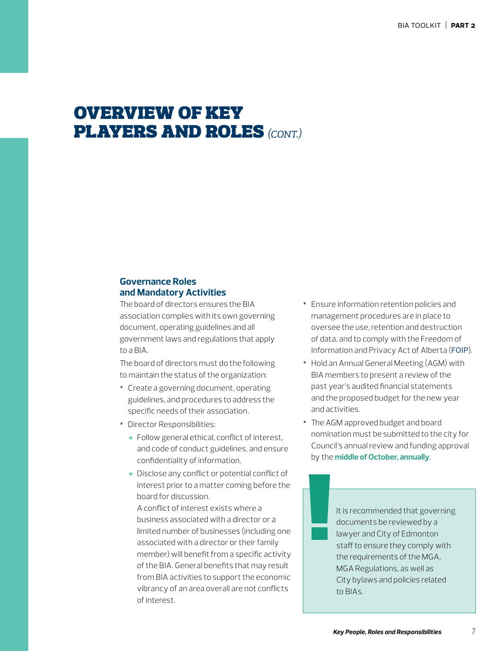#### **Governance Roles and Mandatory Activities**

The board of directors ensures the BIA association complies with its own governing document, operating guidelines and all government laws and regulations that apply to a BIA.

The board of directors must do the following to maintain the status of the organization:

- **•** Create a governing document, operating guidelines, and procedures to address the specific needs of their association.
- **•** Director Responsibilities:
	- + Follow general ethical, conflict of interest, and code of conduct guidelines, and ensure confidentiality of information.
	- + Disclose any conflict or potential conflict of interest prior to a matter coming before the board for discussion.

A conflict of interest exists where a business associated with a director or a limited number of businesses (including one associated with a director or their family member) will benefit from a specific activity of the BIA. General benefits that may result from BIA activities to support the economic vibrancy of an area overall are not conflicts of interest.

- **•** Ensure information retention policies and management procedures are in place to oversee the use, retention and destruction of data, and to comply with the Freedom of Information and Privacy Act of Alberta (**[FOIP](https://www.edmonton.ca/city_government/city_organization/freedom-of-information-and-privacy.aspx)**).
- **•** Hold an Annual General Meeting (AGM) with BIA members to present a review of the past year's audited financial statements and the proposed budget for the new year and activities.
- **•** The AGM approved budget and board nomination must be submitted to the city for Council's annual review and funding approval by the **middle of October, annually**.

It is recommended that governing documents be reviewed by a lawyer and City of Edmonton staff to ensure they comply with the requirements of the MGA, MGA Regulations, as well as City bylaws and policies related to BIAs.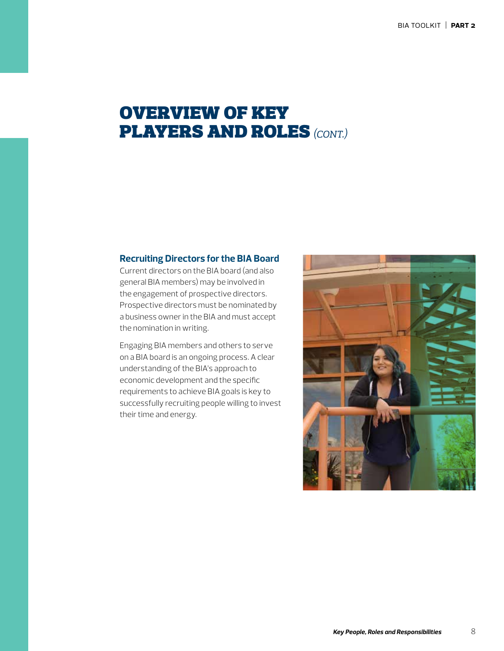#### **Recruiting Directors for the BIA Board**

Current directors on the BIA board (and also general BIA members) may be involved in the engagement of prospective directors. Prospective directors must be nominated by a business owner in the BIA and must accept the nomination in writing.

Engaging BIA members and others to serve on a BIA board is an ongoing process. A clear understanding of the BIA's approach to economic development and the specific requirements to achieve BIA goals is key to successfully recruiting people willing to invest their time and energy.

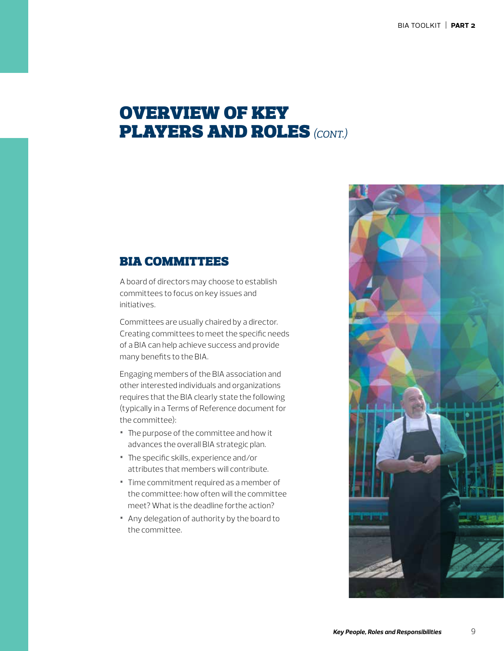#### **BIA COMMITTEES**

A board of directors may choose to establish committees to focus on key issues and initiatives.

Committees are usually chaired by a director. Creating committees to meet the specific needs of a BIA can help achieve success and provide many benefits to the BIA.

Engaging members of the BIA association and other interested individuals and organizations requires that the BIA clearly state the following (typically in a Terms of Reference document for the committee):

- **•** The purpose of the committee and how it advances the overall BIA strategic plan.
- **•** The specific skills, experience and/or attributes that members will contribute.
- **•** Time commitment required as a member of the committee: how often will the committee meet? What is the deadline forthe action?
- **•** Any delegation of authority by the board to the committee.

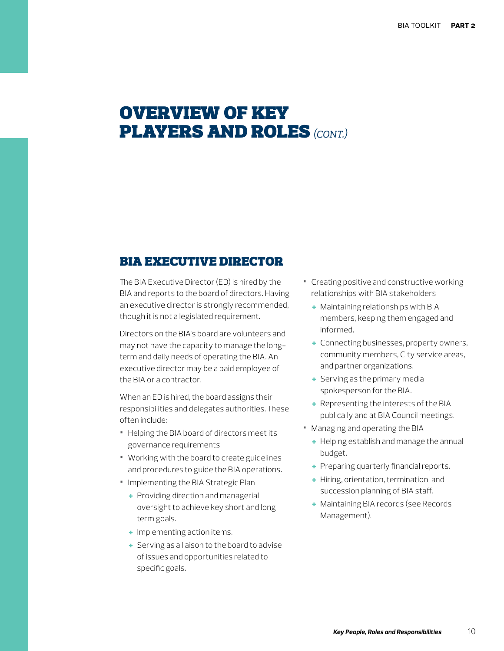#### bia executive director

The BIA Executive Director (ED) is hired by the BIA and reports to the board of directors. Having an executive director is strongly recommended, though it is not a legislated requirement.

Directors on the BIA's board are volunteers and may not have the capacity to manage the longterm and daily needs of operating the BIA. An executive director may be a paid employee of the BIA or a contractor.

When an ED is hired, the board assigns their responsibilities and delegates authorities. These often include:

- **•** Helping the BIA board of directors meet its governance requirements.
- **•** Working with the board to create guidelines and procedures to guide the BIA operations.
- **•** Implementing the BIA Strategic Plan
	- + Providing direction and managerial oversight to achieve key short and long term goals.
	- + Implementing action items.
	- + Serving as a liaison to the board to advise of issues and opportunities related to specific goals.
- **•** Creating positive and constructive working relationships with BIA stakeholders
	- + Maintaining relationships with BIA members, keeping them engaged and informed.
	- + Connecting businesses, property owners, community members, City service areas, and partner organizations.
	- + Serving as the primary media spokesperson for the BIA.
	- + Representing the interests of the BIA publically and at BIA Council meetings.
- **•** Managing and operating the BIA
	- + Helping establish and manage the annual budget.
	- + Preparing quarterly financial reports.
	- + Hiring, orientation, termination, and succession planning of BIA staff.
	- + Maintaining BIA records (see Records Management).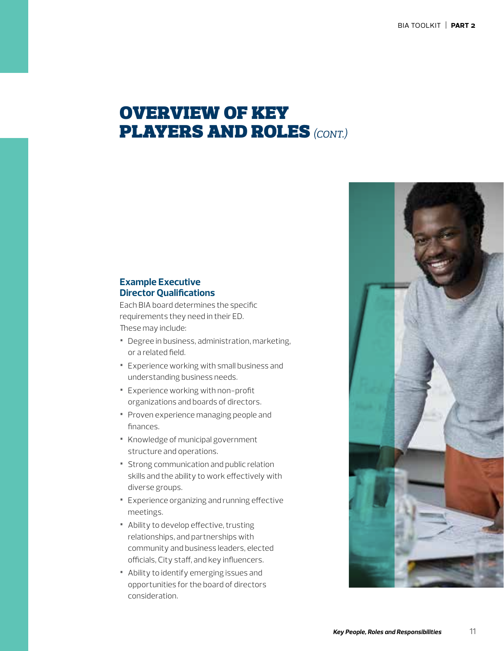#### **Example Executive Director Qualifications**

Each BIA board determines the specific requirements they need in their ED. These may include:

- **•** Degree in business, administration, marketing, or a related field.
- **•** Experience working with small business and understanding business needs.
- **•** Experience working with non-profit organizations and boards of directors.
- **•** Proven experience managing people and finances.
- **•** Knowledge of municipal government structure and operations.
- **•** Strong communication and public relation skills and the ability to work effectively with diverse groups.
- **•** Experience organizing and running effective meetings.
- **•** Ability to develop effective, trusting relationships, and partnerships with community and business leaders, elected officials, City staff, and key influencers.
- **•** Ability to identify emerging issues and opportunities for the board of directors consideration.

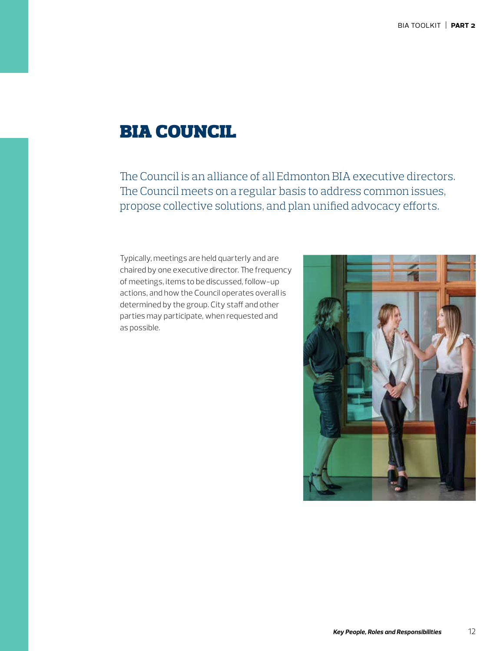### bia council

The Council is an alliance of all Edmonton BIA executive directors. The Council meets on a regular basis to address common issues, propose collective solutions, and plan unified advocacy efforts.

Typically, meetings are held quarterly and are chaired by one executive director. The frequency of meetings, items to be discussed, follow-up actions, and how the Council operates overall is determined by the group. City staff and other parties may participate, when requested and as possible.

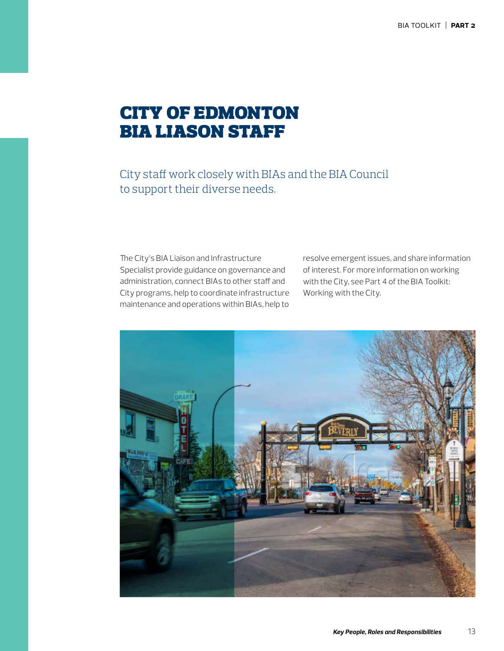# city of edmonton bia liason staff

City staff work closely with BIAs and the BIA Council to support their diverse needs.

The City's BIA Liaison and Infrastructure Specialist provide guidance on governance and administration, connect BIAs to other staff and City programs, help to coordinate infrastructure maintenance and operations within BIAs, help to

resolve emergent issues, and share information of interest. For more information on working with the City, see Part 4 of the BIA Toolkit: Working with the City.